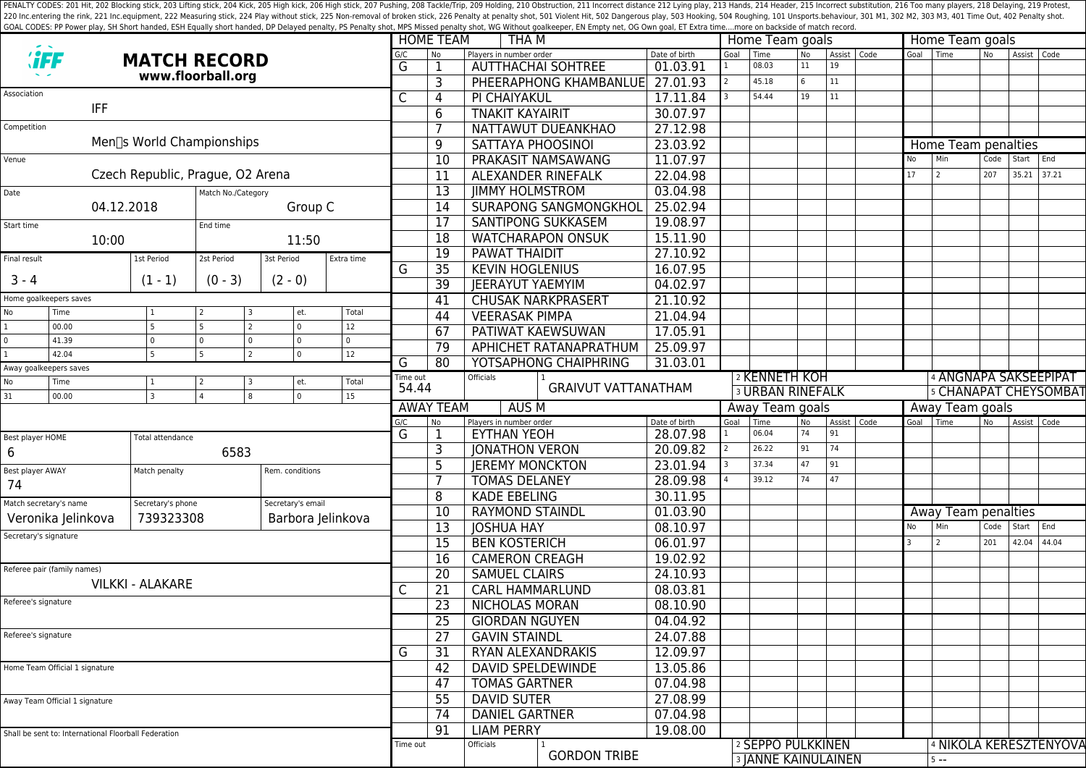PENALTY CODES: 201 Hit, 202 Blocking stick, 203 Lifting stick, 203 Kick, 205 High kick, 205 High kick, 205 High stick, 206 High stick, 207 Pushing, 208 Tackle/Trip, 209 Holding, 210 Obstruction, 211 Incorrect distance 212 220 Inc.entering the rink, 221 Inc.equipment, 222 Measuring stick, 224 Play without stick, 225 Non-removal of broken stick, 225 Poralty shot, 501 Violent Hit, 502 Dangerous play, 503 Hooking, 504 Roughing, 101 Unsports.beh GOAL CODES: PP Power play, SH Short handed, ESH Equally short handed, DP Delayed penalty, PS Penalty shot, MPS Missed penalty shot, WG Without goalkeeper, EN Empty net, OG Own goal, ET Extra time....more on backside of mat

|                                                                                                                          |                                |                                  |                  |                       |                        |                              |                                                                   | <b>HOME TEAM</b><br>THA M        |                            |               |                              |                              | Home Team goals |                     |               |                       | Home Team goals              |                |               |                        |  |
|--------------------------------------------------------------------------------------------------------------------------|--------------------------------|----------------------------------|------------------|-----------------------|------------------------|------------------------------|-------------------------------------------------------------------|----------------------------------|----------------------------|---------------|------------------------------|------------------------------|-----------------|---------------------|---------------|-----------------------|------------------------------|----------------|---------------|------------------------|--|
|                                                                                                                          |                                | <b>MATCH RECORD</b>              |                  |                       |                        | G/C                          | <b>No</b><br>Players in number order<br><b>AUTTHACHAI SOHTREE</b> |                                  |                            | Date of birth | Goal                         | Time<br>08.03                | <b>No</b><br>11 | 19                  | Assist   Code | Goal                  | l Time                       | N <sub>o</sub> | Assist Code   |                        |  |
|                                                                                                                          |                                | www.floorball.org                |                  |                       |                        | G                            |                                                                   |                                  |                            | 01.03.91      |                              |                              | 6               | 11                  |               |                       |                              |                |               |                        |  |
| Association                                                                                                              |                                |                                  |                  |                       |                        | С                            | 3                                                                 |                                  | PHEERAPHONG KHAMBANLUE     | 27.01.93      |                              | 45.18<br>54.44               |                 |                     |               |                       |                              |                |               |                        |  |
| <b>IFF</b>                                                                                                               |                                |                                  |                  |                       |                        |                              | 4                                                                 | PI CHAIYAKUL                     |                            | 17.11.84      |                              |                              | 19              | 11                  |               |                       |                              |                |               |                        |  |
|                                                                                                                          |                                |                                  |                  |                       |                        |                              | 6                                                                 | <b>TNAKIT KAYAIRIT</b>           |                            | 30.07.97      |                              |                              |                 |                     |               |                       |                              |                |               |                        |  |
| Competition                                                                                                              |                                | Men∏s World Championships        |                  |                       |                        |                              |                                                                   |                                  | NATTAWUT DUEANKHAO         | 27.12.98      |                              |                              |                 |                     |               |                       |                              |                |               |                        |  |
|                                                                                                                          |                                |                                  |                  |                       |                        |                              | 9                                                                 | SATTAYA PHOOSINOI                |                            | 23.03.92      |                              |                              |                 |                     |               |                       | Home Team penalties          |                |               |                        |  |
| Venue                                                                                                                    |                                |                                  |                  |                       |                        |                              | 10                                                                |                                  | PRAKASIT NAMSAWANG         | 11.07.97      |                              |                              |                 |                     |               | No                    | Min                          | Code           | Start         | End                    |  |
| Czech Republic, Prague, O2 Arena                                                                                         |                                |                                  |                  |                       |                        | 11                           | <b>ALEXANDER RINEFALK</b>                                         |                                  | 22.04.98                   |               |                              |                              |                 |                     | 17            | 2                     | 207                          |                | $35.21$ 37.21 |                        |  |
| Match No./Category<br>Date                                                                                               |                                |                                  |                  |                       | 13                     | <b>JIMMY HOLMSTROM</b>       |                                                                   | 03.04.98                         |                            |               |                              |                              |                 |                     |               |                       |                              |                |               |                        |  |
| 04.12.2018<br>Group C                                                                                                    |                                |                                  |                  | 14                    |                        | <b>SURAPONG SANGMONGKHOL</b> | 25.02.94                                                          |                                  |                            |               |                              |                              |                 |                     |               |                       |                              |                |               |                        |  |
| Start time                                                                                                               |                                |                                  | End time         |                       |                        |                              | 17                                                                |                                  | SANTIPONG SUKKASEM         | 19.08.97      |                              |                              |                 |                     |               |                       |                              |                |               |                        |  |
|                                                                                                                          | 10:00                          |                                  | 11:50            |                       |                        |                              | $\overline{18}$                                                   | <b>WATCHARAPON ONSUK</b>         | 15.11.90                   |               |                              |                              |                 |                     |               |                       |                              |                |               |                        |  |
| Final result                                                                                                             |                                | 1st Period<br>2st Period         |                  | 3st Period            | Extra time             |                              | $\overline{19}$                                                   | 27.10.92<br><b>PAWAT THAIDIT</b> |                            |               |                              |                              |                 |                     |               |                       |                              |                |               |                        |  |
| $3 - 4$                                                                                                                  |                                | $(1 - 1)$                        | $(0 - 3)$        | $(2 - 0)$             |                        | G                            | 35                                                                | <b>KEVIN HOGLENIUS</b>           |                            | 16.07.95      |                              |                              |                 |                     |               |                       |                              |                |               |                        |  |
|                                                                                                                          |                                |                                  |                  |                       |                        |                              | $\overline{39}$                                                   | <b>JEERAYUT YAEMYIM</b>          |                            | 04.02.97      |                              |                              |                 |                     |               |                       |                              |                |               |                        |  |
| Home goalkeepers saves                                                                                                   |                                |                                  |                  |                       |                        |                              | 41                                                                |                                  | <b>CHUSAK NARKPRASERT</b>  | 21.10.92      |                              |                              |                 |                     |               |                       |                              |                |               |                        |  |
| No                                                                                                                       | Time<br>00.00                  | 5                                | 5                | et.<br>$\overline{0}$ | Total<br>12            |                              | 44                                                                | <b>VEERASAK PIMPA</b>            |                            | 21.04.94      |                              |                              |                 |                     |               |                       |                              |                |               |                        |  |
|                                                                                                                          | 41.39                          | $\mathbf 0$                      | 0                | 0<br>$\Omega$         | $\Omega$               |                              | 67                                                                | <b>PATIWAT KAEWSUWAN</b>         |                            | 17.05.91      |                              |                              |                 |                     |               |                       |                              |                |               |                        |  |
|                                                                                                                          | 42.04                          | $5\overline{2}$                  | $\overline{5}$   | 0                     | 12                     |                              | 79                                                                |                                  | APHICHET RATANAPRATHUM     | 25.09.97      |                              |                              |                 |                     |               |                       |                              |                |               |                        |  |
| Away goalkeepers saves                                                                                                   |                                |                                  |                  |                       | G                      | $\overline{80}$              |                                                                   | YOTSAPHONG CHAIPHRING            | 31.03.01                   |               |                              |                              |                 |                     |               |                       |                              |                |               |                        |  |
| No                                                                                                                       | Time                           |                                  | $\overline{2}$   | et.                   | Total                  | Time out<br>54.44            |                                                                   | Officials                        | <b>GRAIVUT VATTANATHAM</b> |               |                              | 2 KENNETH KOH                |                 |                     |               | 4 ANGNAPA SAKSEEPIPAT |                              |                |               |                        |  |
| $\overline{0}$<br>31<br>$\overline{4}$<br>00.00<br>$\overline{3}$<br>8<br>15                                             |                                |                                  |                  |                       |                        |                              |                                                                   |                                  |                            |               | <b>3 URBAN RINEFALK</b>      |                              |                 |                     |               |                       | <b>5 CHANAPAT CHEYSOMBAT</b> |                |               |                        |  |
|                                                                                                                          |                                |                                  |                  |                       |                        | <b>AWAY TEAM</b><br>AUS M    |                                                                   |                                  |                            |               | Away Team goals<br>Goal Time |                              |                 |                     |               |                       | Away Team goals              |                |               |                        |  |
|                                                                                                                          |                                |                                  |                  |                       | G/C<br>G               | No                           | Players in number order<br><b>EYTHAN YEOH</b>                     |                                  | Date of birth<br>28.07.98  |               | 06.04                        | <b>No</b><br>74              | 91              | Assist   Code       | Goal          | Time                  | N <sub>o</sub>               | Assist Code    |               |                        |  |
| Best player HOME                                                                                                         |                                |                                  | Total attendance |                       |                        |                              |                                                                   | <b>JONATHON VERON</b>            |                            | 20.09.82      |                              | 26.22                        | 91              | 74                  |               |                       |                              |                |               |                        |  |
| 6                                                                                                                        |                                |                                  | 6583             |                       |                        |                              |                                                                   | <b>IEREMY MONCKTON</b>           |                            | 23.01.94      |                              | 37.34                        | 47              | 91                  |               |                       |                              |                |               |                        |  |
| Best player AWAY                                                                                                         |                                | Match penalty<br>Rem. conditions |                  |                       |                        |                              | 5                                                                 | <b>TOMAS DELANEY</b>             |                            | 28.09.98      |                              | 39.12                        | 74              | 47                  |               |                       |                              |                |               |                        |  |
| 74                                                                                                                       |                                |                                  |                  |                       |                        |                              | 8                                                                 | <b>KADE EBELING</b>              |                            | 30.11.95      |                              |                              |                 |                     |               |                       |                              |                |               |                        |  |
| Match secretary's name<br>Secretary's email<br>Secretary's phone<br>739323308<br>Veronika Jelinkova<br>Barbora Jelinkova |                                |                                  |                  | 10                    | <b>RAYMOND STAINDL</b> |                              | 01.03.90                                                          |                                  |                            |               |                              |                              |                 | Away Team penalties |               |                       |                              |                |               |                        |  |
|                                                                                                                          |                                |                                  |                  | 13                    | <b>JOSHUA HAY</b>      |                              | 08.10.97                                                          |                                  |                            |               |                              |                              | No              | Min                 | Code          | Start                 | End                          |                |               |                        |  |
| Secretary's signature                                                                                                    |                                |                                  |                  |                       |                        |                              | $\overline{15}$                                                   | <b>BEN KOSTERICH</b>             |                            | 06.01.97      |                              |                              |                 |                     |               | $\overline{3}$        | 2                            | 201            |               | 42.04 44.04            |  |
|                                                                                                                          |                                |                                  |                  |                       |                        |                              | $\overline{16}$                                                   | <b>CAMERON CREAGH</b>            |                            | 19.02.92      |                              |                              |                 |                     |               |                       |                              |                |               |                        |  |
| Referee pair (family names)                                                                                              |                                |                                  |                  |                       |                        |                              | 20                                                                | <b>SAMUEL CLAIRS</b>             |                            | 24.10.93      |                              |                              |                 |                     |               |                       |                              |                |               |                        |  |
| <b>VILKKI - ALAKARE</b>                                                                                                  |                                |                                  |                  |                       |                        | C                            | 21                                                                | <b>CARL HAMMARLUND</b>           |                            | 08.03.81      |                              |                              |                 |                     |               |                       |                              |                |               |                        |  |
| Referee's signature                                                                                                      |                                |                                  |                  |                       |                        |                              | $\overline{23}$                                                   | <b>NICHOLAS MORAN</b>            | 08.10.90                   |               |                              |                              |                 |                     |               |                       |                              |                |               |                        |  |
|                                                                                                                          |                                |                                  |                  |                       |                        |                              | 25                                                                |                                  | 04.04.92                   |               |                              |                              |                 |                     |               |                       |                              |                |               |                        |  |
| Referee's signature                                                                                                      |                                |                                  |                  |                       |                        | $\overline{27}$              | <b>GIORDAN NGUYEN</b><br><b>GAVIN STAINDL</b>                     |                                  | 24.07.88                   |               |                              |                              |                 |                     |               |                       |                              |                |               |                        |  |
|                                                                                                                          |                                |                                  |                  |                       |                        |                              |                                                                   |                                  |                            | 12.09.97      |                              |                              |                 |                     |               |                       |                              |                |               |                        |  |
|                                                                                                                          |                                |                                  |                  |                       |                        | G                            | 31                                                                | RYAN ALEXANDRAKIS                |                            |               |                              |                              |                 |                     |               |                       |                              |                |               |                        |  |
|                                                                                                                          | Home Team Official 1 signature |                                  |                  |                       |                        |                              | 42                                                                | <b>DAVID SPELDEWINDE</b>         |                            | 13.05.86      |                              |                              |                 |                     |               |                       |                              |                |               |                        |  |
|                                                                                                                          |                                |                                  |                  |                       |                        | 47                           | <b>TOMAS GARTNER</b>                                              |                                  | 07.04.98                   |               |                              |                              |                 |                     |               |                       |                              |                |               |                        |  |
| Away Team Official 1 signature                                                                                           |                                |                                  |                  |                       | $\overline{55}$        | <b>DAVID SUTER</b>           |                                                                   | 27.08.99                         |                            |               |                              |                              |                 |                     |               |                       |                              |                |               |                        |  |
|                                                                                                                          |                                |                                  |                  |                       |                        |                              | 74                                                                | <b>DANIEL GARTNER</b>            |                            | 07.04.98      |                              |                              |                 |                     |               |                       |                              |                |               |                        |  |
| Shall be sent to: International Floorball Federation                                                                     |                                |                                  |                  |                       |                        |                              | 91                                                                | <b>LIAM PERRY</b>                |                            | 19.08.00      |                              |                              |                 |                     |               |                       |                              |                |               |                        |  |
|                                                                                                                          |                                |                                  |                  |                       |                        | Time out                     |                                                                   | Officials                        | <b>GORDON TRIBE</b>        |               |                              | <sup>2</sup> SEPPO PULKKINEN |                 |                     |               |                       |                              |                |               | 4 NIKOLA KERESZTENYOVA |  |
|                                                                                                                          |                                |                                  |                  |                       |                        |                              |                                                                   |                                  |                            |               |                              | <b>3 JANNE KAINULAINEN</b>   |                 |                     |               |                       | $5 - -$                      |                |               |                        |  |